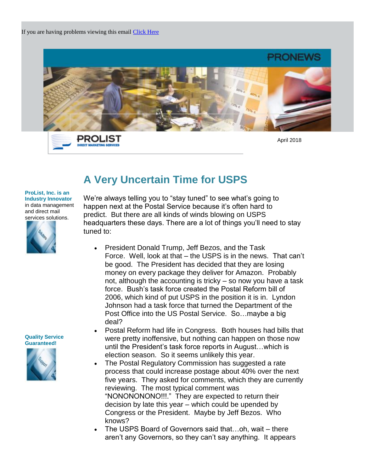

PROLIST **DIRECT MARKETING SERV** 

April 2018

## **A Very Uncertain Time for USPS**

## **ProList, Inc. is an Industry Innovator** in data management and direct mail

services solutions.



We're always telling you to "stay tuned" to see what's going to happen next at the Postal Service because it's often hard to predict. But there are all kinds of winds blowing on USPS headquarters these days. There are a lot of things you'll need to stay tuned to:

- President Donald Trump, Jeff Bezos, and the Task Force. Well, look at that – the USPS is in the news. That can't be good. The President has decided that they are losing money on every package they deliver for Amazon. Probably not, although the accounting is tricky – so now you have a task force. Bush's task force created the Postal Reform bill of 2006, which kind of put USPS in the position it is in. Lyndon Johnson had a task force that turned the Department of the Post Office into the US Postal Service. So…maybe a big deal?
- Postal Reform had life in Congress. Both houses had bills that were pretty inoffensive, but nothing can happen on those now until the President's task force reports in August…which is election season. So it seems unlikely this year.
- The Postal Regulatory Commission has suggested a rate process that could increase postage about 40% over the next five years. They asked for comments, which they are currently reviewing. The most typical comment was "NONONONONO!!!." They are expected to return their decision by late this year – which could be upended by Congress or the President. Maybe by Jeff Bezos. Who knows?
- The USPS Board of Governors said that…oh, wait there aren't any Governors, so they can't say anything. It appears



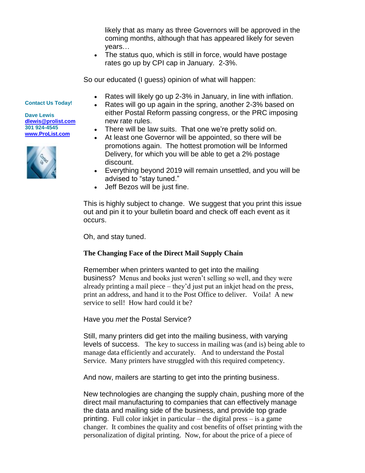likely that as many as three Governors will be approved in the coming months, although that has appeared likely for seven years…

• The status quo, which is still in force, would have postage rates go up by CPI cap in January. 2-3%.

So our educated (I guess) opinion of what will happen:

- Rates will likely go up 2-3% in January, in line with inflation.
- Rates will go up again in the spring, another 2-3% based on either Postal Reform passing congress, or the PRC imposing new rate rules.
- There will be law suits. That one we're pretty solid on.
- At least one Governor will be appointed, so there will be promotions again. The hottest promotion will be Informed Delivery, for which you will be able to get a 2% postage discount.
- Everything beyond 2019 will remain unsettled, and you will be advised to "stay tuned."
- Jeff Bezos will be just fine.

This is highly subject to change. We suggest that you print this issue out and pin it to your bulletin board and check off each event as it occurs.

Oh, and stay tuned.

## **The Changing Face of the Direct Mail Supply Chain**

Remember when printers wanted to get into the mailing business? Menus and books just weren't selling so well, and they were already printing a mail piece – they'd just put an inkjet head on the press, print an address, and hand it to the Post Office to deliver. Voila! A new service to sell! How hard could it be?

Have you *met* the Postal Service?

Still, many printers did get into the mailing business, with varying levels of success. The key to success in mailing was (and is) being able to manage data efficiently and accurately. And to understand the Postal Service. Many printers have struggled with this required competency.

And now, mailers are starting to get into the printing business.

New technologies are changing the supply chain, pushing more of the direct mail manufacturing to companies that can effectively manage the data and mailing side of the business, and provide top grade printing. Full color inkjet in particular – the digital press – is a game changer. It combines the quality and cost benefits of offset printing with the personalization of digital printing. Now, for about the price of a piece of

## **Contact Us Today!**

**Dave Lewis [dlewis@prolist.com](mailto:dlewis@prolist.com) 301 924-4545 [www.ProList.com](http://trk.publicaster.com/click/c2f1-ujoiw-gvrhvt-73hxzcz6/)**